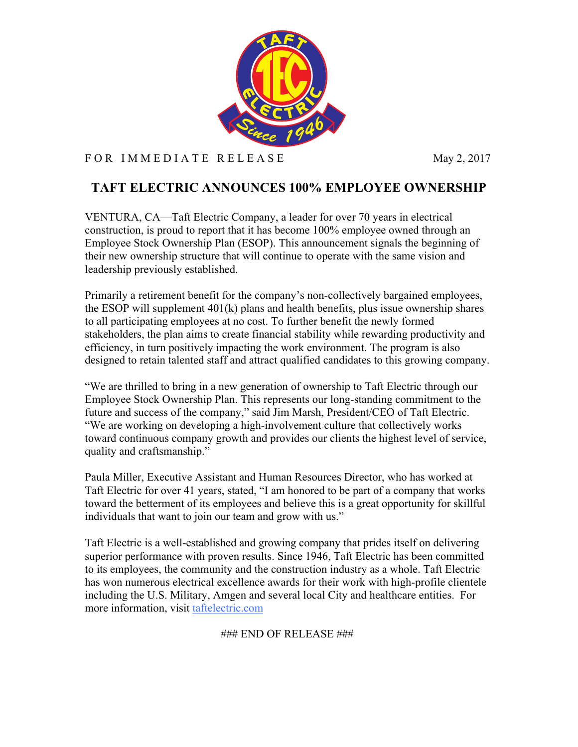

## F OR IMMEDIATE RELEASE May 2, 2017

# **TAFT ELECTRIC ANNOUNCES 100% EMPLOYEE OWNERSHIP**

VENTURA, CA––Taft Electric Company, a leader for over 70 years in electrical construction, is proud to report that it has become 100% employee owned through an Employee Stock Ownership Plan (ESOP). This announcement signals the beginning of their new ownership structure that will continue to operate with the same vision and leadership previously established.

Primarily a retirement benefit for the company's non-collectively bargained employees, the ESOP will supplement 401(k) plans and health benefits, plus issue ownership shares to all participating employees at no cost. To further benefit the newly formed stakeholders, the plan aims to create financial stability while rewarding productivity and efficiency, in turn positively impacting the work environment. The program is also designed to retain talented staff and attract qualified candidates to this growing company.

"We are thrilled to bring in a new generation of ownership to Taft Electric through our Employee Stock Ownership Plan. This represents our long-standing commitment to the future and success of the company," said Jim Marsh, President/CEO of Taft Electric. "We are working on developing a high-involvement culture that collectively works toward continuous company growth and provides our clients the highest level of service, quality and craftsmanship."

Paula Miller, Executive Assistant and Human Resources Director, who has worked at Taft Electric for over 41 years, stated, "I am honored to be part of a company that works toward the betterment of its employees and believe this is a great opportunity for skillful individuals that want to join our team and grow with us."

Taft Electric is a well-established and growing company that prides itself on delivering superior performance with proven results. Since 1946, Taft Electric has been committed to its employees, the community and the construction industry as a whole. Taft Electric has won numerous electrical excellence awards for their work with high-profile clientele including the U.S. Military, Amgen and several local City and healthcare entities. For more information, visit taftelectric.com

### END OF RELEASE ###